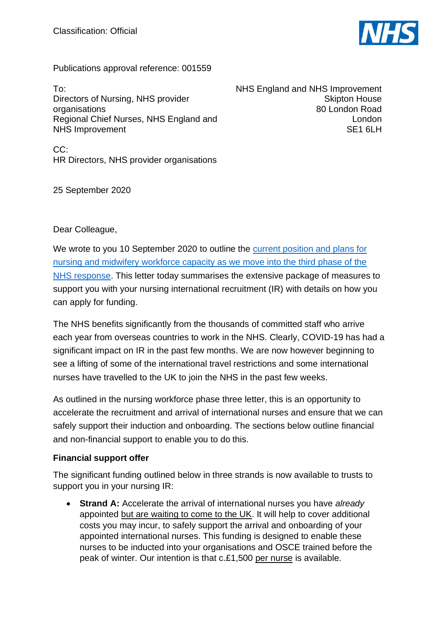

Publications approval reference: 001559

To: Directors of Nursing, NHS provider organisations Regional Chief Nurses, NHS England and NHS Improvement

NHS England and NHS Improvement Skipton House 80 London Road London SE1 6LH

CC: HR Directors, NHS provider organisations

25 September 2020

Dear Colleague,

We wrote to you 10 September 2020 to outline the current position and plans for [nursing and midwifery workforce capacity as we move into the third phase of the](https://www.england.nhs.uk/wp-content/uploads/2020/09/C0725-Nursing-and-midwifery-workforce-response-to-COVID-19-Third-Phase-Letter.pdf)  [NHS response.](https://www.england.nhs.uk/wp-content/uploads/2020/09/C0725-Nursing-and-midwifery-workforce-response-to-COVID-19-Third-Phase-Letter.pdf) This letter today summarises the extensive package of measures to support you with your nursing international recruitment (IR) with details on how you can apply for funding.

The NHS benefits significantly from the thousands of committed staff who arrive each year from overseas countries to work in the NHS. Clearly, COVID-19 has had a significant impact on IR in the past few months. We are now however beginning to see a lifting of some of the international travel restrictions and some international nurses have travelled to the UK to join the NHS in the past few weeks.

As outlined in the nursing workforce phase three letter, this is an opportunity to accelerate the recruitment and arrival of international nurses and ensure that we can safely support their induction and onboarding. The sections below outline financial and non-financial support to enable you to do this.

#### **Financial support offer**

The significant funding outlined below in three strands is now available to trusts to support you in your nursing IR:

• **Strand A:** Accelerate the arrival of international nurses you have *already* appointed but are waiting to come to the UK. It will help to cover additional costs you may incur, to safely support the arrival and onboarding of your appointed international nurses. This funding is designed to enable these nurses to be inducted into your organisations and OSCE trained before the peak of winter. Our intention is that c.£1,500 per nurse is available.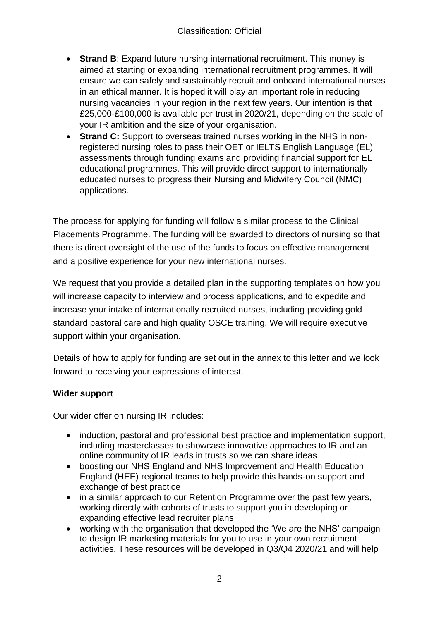- **Strand B**: Expand future nursing international recruitment. This money is aimed at starting or expanding international recruitment programmes. It will ensure we can safely and sustainably recruit and onboard international nurses in an ethical manner. It is hoped it will play an important role in reducing nursing vacancies in your region in the next few years. Our intention is that £25,000-£100,000 is available per trust in 2020/21, depending on the scale of your IR ambition and the size of your organisation.
- **Strand C:** Support to overseas trained nurses working in the NHS in nonregistered nursing roles to pass their OET or IELTS English Language (EL) assessments through funding exams and providing financial support for EL educational programmes. This will provide direct support to internationally educated nurses to progress their Nursing and Midwifery Council (NMC) applications.

The process for applying for funding will follow a similar process to the Clinical Placements Programme. The funding will be awarded to directors of nursing so that there is direct oversight of the use of the funds to focus on effective management and a positive experience for your new international nurses.

We request that you provide a detailed plan in the supporting templates on how you will increase capacity to interview and process applications, and to expedite and increase your intake of internationally recruited nurses, including providing gold standard pastoral care and high quality OSCE training. We will require executive support within your organisation.

Details of how to apply for funding are set out in the annex to this letter and we look forward to receiving your expressions of interest.

### **Wider support**

Our wider offer on nursing IR includes:

- induction, pastoral and professional best practice and implementation support, including masterclasses to showcase innovative approaches to IR and an online community of IR leads in trusts so we can share ideas
- boosting our NHS England and NHS Improvement and Health Education England (HEE) regional teams to help provide this hands-on support and exchange of best practice
- in a similar approach to our Retention Programme over the past few years, working directly with cohorts of trusts to support you in developing or expanding effective lead recruiter plans
- working with the organisation that developed the 'We are the NHS' campaign to design IR marketing materials for you to use in your own recruitment activities. These resources will be developed in Q3/Q4 2020/21 and will help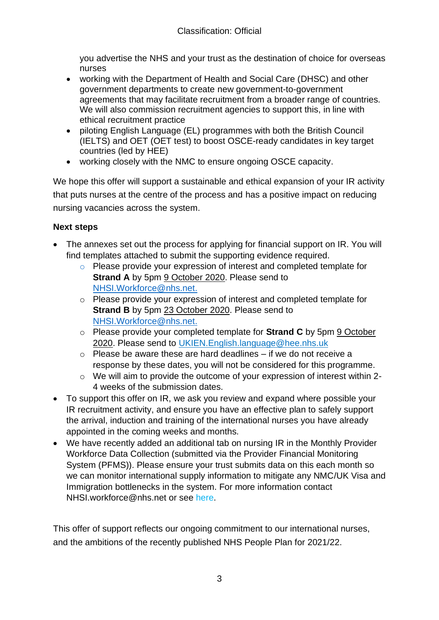you advertise the NHS and your trust as the destination of choice for overseas nurses

- working with the Department of Health and Social Care (DHSC) and other government departments to create new government-to-government agreements that may facilitate recruitment from a broader range of countries. We will also commission recruitment agencies to support this, in line with ethical recruitment practice
- piloting English Language (EL) programmes with both the British Council (IELTS) and OET (OET test) to boost OSCE-ready candidates in key target countries (led by HEE)
- working closely with the NMC to ensure ongoing OSCE capacity.

We hope this offer will support a sustainable and ethical expansion of your IR activity that puts nurses at the centre of the process and has a positive impact on reducing nursing vacancies across the system.

#### **Next steps**

- The annexes set out the process for applying for financial support on IR. You will find templates attached to submit the supporting evidence required.
	- o Please provide your expression of interest and completed template for **Strand A** by 5pm 9 October 2020. Please send to [NHSI.Workforce@nhs.net.](mailto:NHSI.Workforce@nhs.net)
	- o Please provide your expression of interest and completed template for **Strand B** by 5pm 23 October 2020. Please send to [NHSI.Workforce@nhs.net.](mailto:NHSI.Workforce@nhs.net)
	- o Please provide your completed template for **Strand C** by 5pm 9 October 2020. Please send to UKIEN.English.language@hee.nhs.uk
	- o Please be aware these are hard deadlines if we do not receive a response by these dates, you will not be considered for this programme.
	- o We will aim to provide the outcome of your expression of interest within 2- 4 weeks of the submission dates.
- To support this offer on IR, we ask you review and expand where possible your IR recruitment activity, and ensure you have an effective plan to safely support the arrival, induction and training of the international nurses you have already appointed in the coming weeks and months.
- We have recently added an additional tab on nursing IR in the Monthly Provider Workforce Data Collection (submitted via the Provider Financial Monitoring System [\(PFMS\)](https://portal.improvement.nhs.uk/)). Please ensure your trust submits data on this each month so we can monitor international supply information to mitigate any NMC/UK Visa and Immigration bottlenecks in the system. For more information contact [NHSI.workforce@nhs.net](mailto:NHSI.workforce@nhs.net) or see [here.](https://portal.improvement.nhs.uk/sites/Additonaldocuments/Shared%20Documents/PFMS%20-%20Trust%20Portal%20Submission%20Guide.pdf)

This offer of support reflects our ongoing commitment to our international nurses, and the ambitions of the recently published NHS People Plan for 2021/22.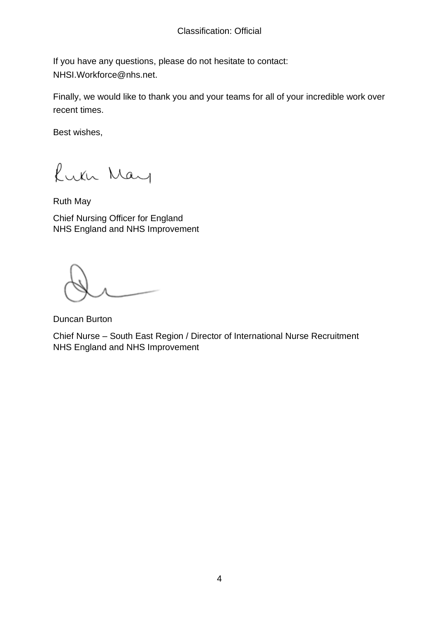If you have any questions, please do not hesitate to contact: NHSI.Workforce@nhs.net.

Finally, we would like to thank you and your teams for all of your incredible work over recent times.

Best wishes,

Lukh May

Ruth May

Chief Nursing Officer for England NHS England and NHS Improvement

Duncan Burton

Chief Nurse – South East Region / Director of International Nurse Recruitment NHS England and NHS Improvement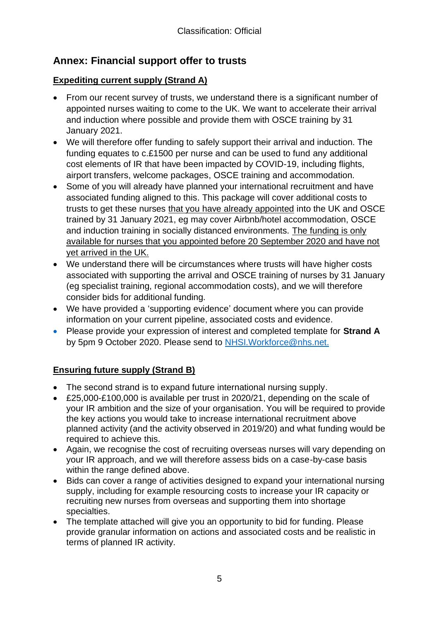# **Annex: Financial support offer to trusts**

## **Expediting current supply (Strand A)**

- From our recent survey of trusts, we understand there is a significant number of appointed nurses waiting to come to the UK. We want to accelerate their arrival and induction where possible and provide them with OSCE training by 31 January 2021.
- We will therefore offer funding to safely support their arrival and induction. The funding equates to c.£1500 per nurse and can be used to fund any additional cost elements of IR that have been impacted by COVID-19, including flights, airport transfers, welcome packages, OSCE training and accommodation.
- Some of you will already have planned your international recruitment and have associated funding aligned to this. This package will cover additional costs to trusts to get these nurses that you have already appointed into the UK and OSCE trained by 31 January 2021, eg may cover Airbnb/hotel accommodation, OSCE and induction training in socially distanced environments. The funding is only available for nurses that you appointed before 20 September 2020 and have not yet arrived in the UK.
- We understand there will be circumstances where trusts will have higher costs associated with supporting the arrival and OSCE training of nurses by 31 January (eg specialist training, regional accommodation costs), and we will therefore consider bids for additional funding.
- We have provided a 'supporting evidence' document where you can provide information on your current pipeline, associated costs and evidence.
- Please provide your expression of interest and completed template for **Strand A** by 5pm 9 October 2020. Please send to [NHSI.Workforce@nhs.net.](mailto:NHSI.Workforce@nhs.net)

# **Ensuring future supply (Strand B)**

- The second strand is to expand future international nursing supply.
- £25,000-£100,000 is available per trust in 2020/21, depending on the scale of your IR ambition and the size of your organisation. You will be required to provide the key actions you would take to increase international recruitment above planned activity (and the activity observed in 2019/20) and what funding would be required to achieve this.
- Again, we recognise the cost of recruiting overseas nurses will vary depending on your IR approach, and we will therefore assess bids on a case-by-case basis within the range defined above.
- Bids can cover a range of activities designed to expand your international nursing supply, including for example resourcing costs to increase your IR capacity or recruiting new nurses from overseas and supporting them into shortage specialties.
- The template attached will give you an opportunity to bid for funding. Please provide granular information on actions and associated costs and be realistic in terms of planned IR activity.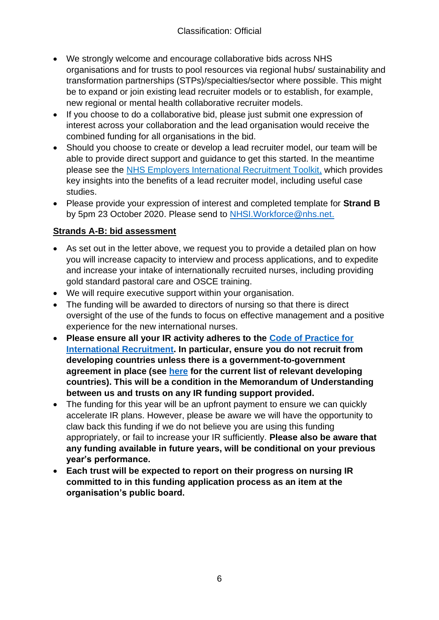- We strongly welcome and encourage collaborative bids across NHS organisations and for trusts to pool resources via regional hubs/ sustainability and transformation partnerships (STPs)/specialties/sector where possible. This might be to expand or join existing lead recruiter models or to establish, for example, new regional or mental health collaborative recruiter models.
- If you choose to do a collaborative bid, please just submit one expression of interest across your collaboration and the lead organisation would receive the combined funding for all organisations in the bid.
- Should you choose to create or develop a lead recruiter model, our team will be able to provide direct support and guidance to get this started. In the meantime please see the [NHS Employers International Recruitment Toolkit,](https://www.nhsemployers.org/-/media/Employers/Publications/International-Recruitment-toolkit/NHS-International-recruitment-toolkit-200120.pdf) which provides key insights into the benefits of a lead recruiter model, including useful case studies.
- Please provide your expression of interest and completed template for **Strand B** by 5pm 23 October 2020. Please send to [NHSI.Workforce@nhs.net.](mailto:NHSI.Workforce@nhs.net)

## **Strands A-B: bid assessment**

- As set out in the letter above, we request you to provide a detailed plan on how you will increase capacity to interview and process applications, and to expedite and increase your intake of internationally recruited nurses, including providing gold standard pastoral care and OSCE training.
- We will require executive support within your organisation.
- The funding will be awarded to directors of nursing so that there is direct oversight of the use of the funds to focus on effective management and a positive experience for the new international nurses.
- **Please ensure all your IR activity adheres to the [Code of Practice for](https://www.nhsemployers.org/your-workforce/recruit/employer-led-recruitment/international-recruitment/uk-code-of-practice-for-international-recruitment)  [International Recruitment.](https://www.nhsemployers.org/your-workforce/recruit/employer-led-recruitment/international-recruitment/uk-code-of-practice-for-international-recruitment) In particular, ensure you do not recruit from developing countries unless there is a government-to-government agreement in place (see [here](https://www.nhsemployers.org/your-workforce/recruit/employer-led-recruitment/international-recruitment/restarting-international-recruitment-following-covid19https:/www.nhsemployers.org/your-workforce/recruit/employer-led-recruitment/international-recruitment/uk-code-of-practice-for-international-recruitment/list-of-developing-countries) for the current list of relevant developing countries). This will be a condition in the Memorandum of Understanding between us and trusts on any IR funding support provided.**
- The funding for this year will be an upfront payment to ensure we can quickly accelerate IR plans. However, please be aware we will have the opportunity to claw back this funding if we do not believe you are using this funding appropriately, or fail to increase your IR sufficiently. **Please also be aware that any funding available in future years, will be conditional on your previous year's performance.**
- **Each trust will be expected to report on their progress on nursing IR committed to in this funding application process as an item at the organisation's public board.**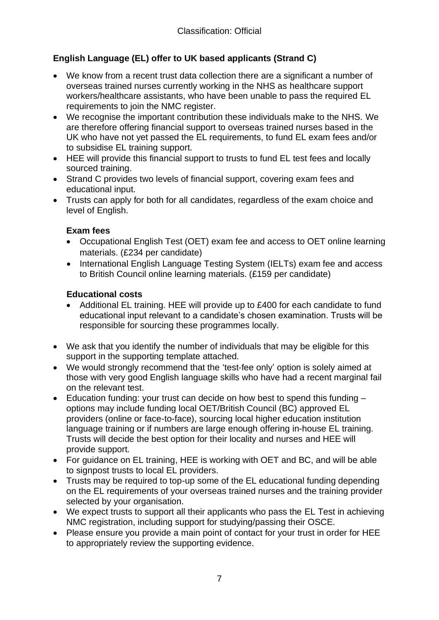# **English Language (EL) offer to UK based applicants (Strand C)**

- We know from a recent trust data collection there are a significant a number of overseas trained nurses currently working in the NHS as healthcare support workers/healthcare assistants, who have been unable to pass the required EL requirements to join the NMC register.
- We recognise the important contribution these individuals make to the NHS. We are therefore offering financial support to overseas trained nurses based in the UK who have not yet passed the EL requirements, to fund EL exam fees and/or to subsidise EL training support.
- HEE will provide this financial support to trusts to fund EL test fees and locally sourced training.
- Strand C provides two levels of financial support, covering exam fees and educational input.
- Trusts can apply for both for all candidates, regardless of the exam choice and level of English.

#### **Exam fees**

- Occupational English Test (OET) exam fee and access to OET online learning materials. (£234 per candidate)
- International English Language Testing System (IELTs) exam fee and access to British Council online learning materials. (£159 per candidate)

### **Educational costs**

- Additional EL training. HEE will provide up to £400 for each candidate to fund educational input relevant to a candidate's chosen examination. Trusts will be responsible for sourcing these programmes locally.
- We ask that you identify the number of individuals that may be eligible for this support in the supporting template attached.
- We would strongly recommend that the 'test-fee only' option is solely aimed at those with very good English language skills who have had a recent marginal fail on the relevant test.
- Education funding: your trust can decide on how best to spend this funding options may include funding local OET/British Council (BC) approved EL providers (online or face-to-face), sourcing local higher education institution language training or if numbers are large enough offering in-house EL training. Trusts will decide the best option for their locality and nurses and HEE will provide support.
- For guidance on EL training, HEE is working with OET and BC, and will be able to signpost trusts to local EL providers.
- Trusts may be required to top-up some of the EL educational funding depending on the EL requirements of your overseas trained nurses and the training provider selected by your organisation.
- We expect trusts to support all their applicants who pass the EL Test in achieving NMC registration, including support for studying/passing their OSCE.
- Please ensure you provide a main point of contact for your trust in order for HEE to appropriately review the supporting evidence.